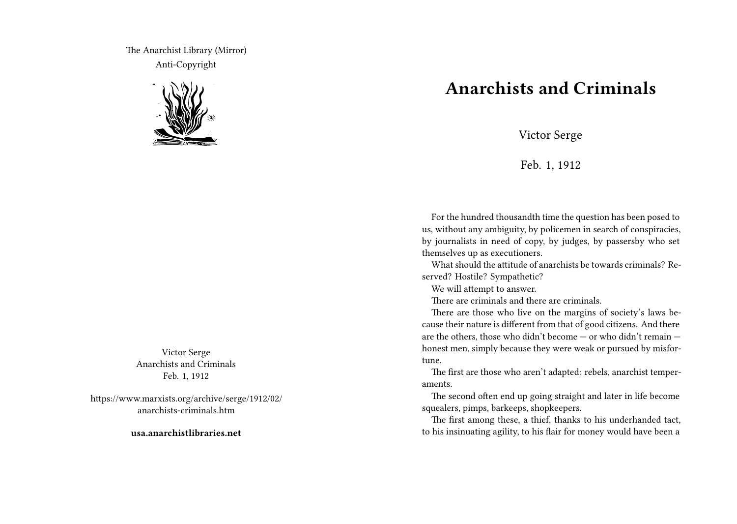The Anarchist Library (Mirror) Anti-Copyright



Victor Serge Anarchists and Criminals Feb. 1, 1912

https://www.marxists.org/archive/serge/1912/02/ anarchists-criminals.htm

**usa.anarchistlibraries.net**

## **Anarchists and Criminals**

Victor Serge

Feb. 1, 1912

For the hundred thousandth time the question has been posed to us, without any ambiguity, by policemen in search of conspiracies, by journalists in need of copy, by judges, by passersby who set themselves up as executioners.

What should the attitude of anarchists be towards criminals? Reserved? Hostile? Sympathetic?

We will attempt to answer.

There are criminals and there are criminals.

There are those who live on the margins of society's laws because their nature is different from that of good citizens. And there are the others, those who didn't become — or who didn't remain honest men, simply because they were weak or pursued by misfortune.

The first are those who aren't adapted: rebels, anarchist temperaments.

The second often end up going straight and later in life become squealers, pimps, barkeeps, shopkeepers.

The first among these, a thief, thanks to his underhanded tact, to his insinuating agility, to his flair for money would have been a